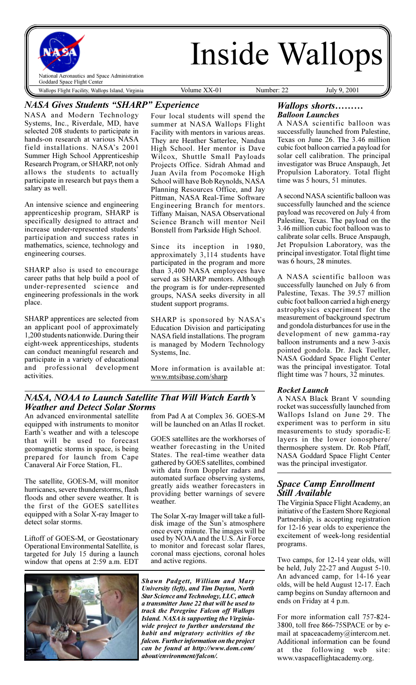

# Inside Wallops

Wallops Flight Facility, Wallops Island, Virginia Volume XX-01 Number: 22 July 9, 2001

## *NASA Gives Students "SHARP" Experience*

NASA and Modern Technology Systems, Inc., Riverdale, MD, have selected 208 students to participate in hands-on research at various NASA field installations. NASA's 2001 Summer High School Apprenticeship Research Program, or SHARP, not only allows the students to actually participate in research but pays them a salary as well.

An intensive science and engineering apprenticeship program, SHARP is specifically designed to attract and increase under-represented students participation and success rates in mathematics, science, technology and engineering courses.

SHARP also is used to encourage career paths that help build a pool of under-represented science and engineering professionals in the work place.

SHARP apprentices are selected from an applicant pool of approximately 1,200 students nationwide. During their eight-week apprenticeships, students can conduct meaningful research and participate in a variety of educational and professional development activities.

Four local students will spend the summer at NASA Wallops Flight Facility with mentors in various areas. They are Heather Satterlee, Nandua High School. Her mentor is Dave Wilcox, Shuttle Small Payloads Projects Office. Sidrah Ahmad and Juan Avila from Pocomoke High School will have Bob Reynolds, NASA Planning Resources Office, and Jay Pittman, NASA Real-Time Software Engineering Branch for mentors. Tiffany Maisan, NASA Observational Science Branch will mentor Neil Bonstell from Parkside High School.

Since its inception in 1980, approximately 3,114 students have participated in the program and more than 3,400 NASA employees have served as SHARP mentors. Although the program is for under-represented groups, NASA seeks diversity in all student support programs.

SHARP is sponsored by NASA's Education Division and participating NASA field installations. The program is managed by Modern Technology Systems, Inc.

More information is available at: www.mtsibase.com/sharp

### *NASA, NOAA to Launch Satellite That Will Watch Earth's Weather and Detect Solar Storms*

An advanced environmental satellite equipped with instruments to monitor Earth's weather and with a telescope that will be used to forecast geomagnetic storms in space, is being prepared for launch from Cape Canaveral Air Force Station, FL.

The satellite, GOES-M, will monitor hurricanes, severe thunderstorms, flash floods and other severe weather. It is the first of the GOES satellites equipped with a Solar X-ray Imager to detect solar storms.

Liftoff of GOES-M, or Geostationary Operational Environmental Satellite, is targeted for July 15 during a launch window that opens at 2:59 a.m. EDT



from Pad A at Complex 36. GOES-M will be launched on an Atlas II rocket.

GOES satellites are the workhorses of weather forecasting in the United States. The real-time weather data gathered by GOES satellites, combined with data from Doppler radars and automated surface observing systems, greatly aids weather forecasters in providing better warnings of severe weather.

The Solar X-ray Imager will take a fulldisk image of the Sun's atmosphere once every minute. The images will be used by NOAA and the U.S. Air Force to monitor and forecast solar flares, coronal mass ejections, coronal holes and active regions.

*Shawn Padgett, William and Mary University (left), and Tim Dayton, North Star Science and Technology, LLC, attach a transmitter June 22 that will be used to track the Peregrine Falcon off Wallops Island. NASA is supporting the Virginiawide project to further understand the habit and migratory activities of the falcon. Further information on the project can be found at http://www.dom.com/ about/environment/falcon/.*

#### *Balloon Launches Wallops shorts*

A NASA scientific balloon was successfully launched from Palestine, Texas on June 26. The 3.46 million cubic foot balloon carried a payload for solar cell calibration. The principal investigator was Bruce Anspaugh, Jet Propulsion Laboratory. Total flight time was 5 hours, 51 minutes.

A second NASA scientific balloon was successfully launched and the science payload was recovered on July 4 from Palestine, Texas. The payload on the 3.46 million cubic foot balloon was to calibrate solar cells. Bruce Anspaugh, Jet Propulsion Laboratory, was the principal investigator. Total flight time was 6 hours, 28 minutes.

A NASA scientific balloon was successfully launched on July 6 from Palestine, Texas. The 39.57 million cubic foot balloon carried a high energy astrophysics experiment for the measurement of background spectrum and gondola disturbances for use in the development of new gamma-ray balloon instruments and a new 3-axis pointed gondola. Dr. Jack Tueller, NASA Goddard Space Flight Center was the principal investigator. Total flight time was 7 hours, 32 minutes.

#### *Rocket Launch*

A NASA Black Brant V sounding rocket was successfully launched from Wallops Island on June 29. The experiment was to perform in situ measurements to study sporadic-E layers in the lower ionosphere/ thermosphere system. Dr. Rob Pfaff, NASA Goddard Space Flight Center was the principal investigator.

## *Space Camp Enrollment Still Available*

The Virginia Space Flight Academy, an initiative of the Eastern Shore Regional Partnership, is accepting registration for 12-16 year olds to experience the excitement of week-long residential programs.

Two camps, for 12-14 year olds, will be held, July 22-27 and August 5-10. An advanced camp, for 14-16 year olds, will be held August 12-17. Each camp begins on Sunday afternoon and ends on Friday at 4 p.m.

For more information call 757-824- 3800, toll free 866-75SPACE or by email at spaceacademy@intercom.net. Additional information can be found at the following web site: www.vaspaceflightacademy.org.